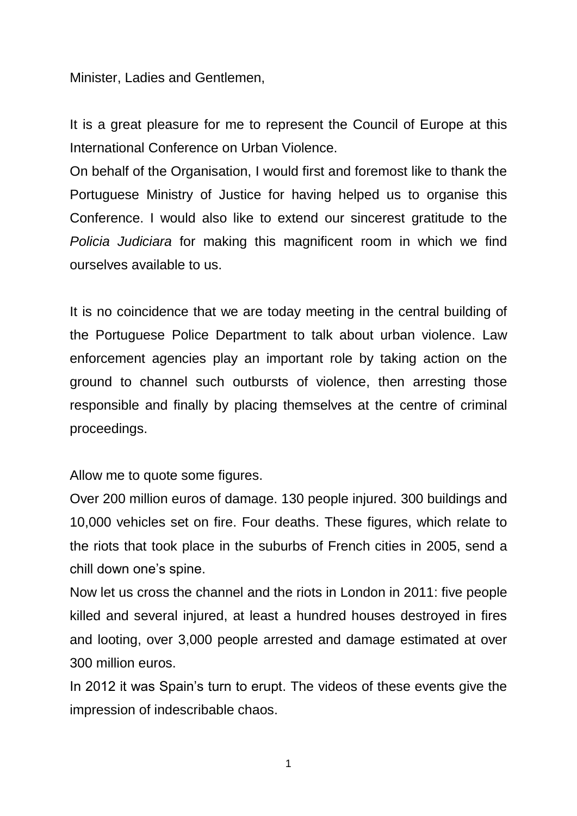Minister, Ladies and Gentlemen,

It is a great pleasure for me to represent the Council of Europe at this International Conference on Urban Violence.

On behalf of the Organisation, I would first and foremost like to thank the Portuguese Ministry of Justice for having helped us to organise this Conference. I would also like to extend our sincerest gratitude to the *Policia Judiciara* for making this magnificent room in which we find ourselves available to us.

It is no coincidence that we are today meeting in the central building of the Portuguese Police Department to talk about urban violence. Law enforcement agencies play an important role by taking action on the ground to channel such outbursts of violence, then arresting those responsible and finally by placing themselves at the centre of criminal proceedings.

Allow me to quote some figures.

Over 200 million euros of damage. 130 people injured. 300 buildings and 10,000 vehicles set on fire. Four deaths. These figures, which relate to the riots that took place in the suburbs of French cities in 2005, send a chill down one's spine.

Now let us cross the channel and the riots in London in 2011: five people killed and several injured, at least a hundred houses destroyed in fires and looting, over 3,000 people arrested and damage estimated at over 300 million euros.

In 2012 it was Spain's turn to erupt. The videos of these events give the impression of indescribable chaos.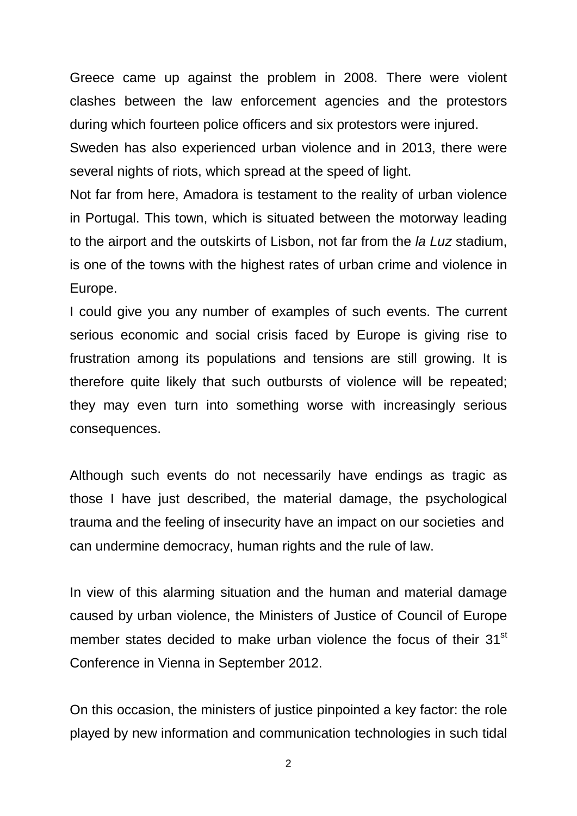Greece came up against the problem in 2008. There were violent clashes between the law enforcement agencies and the protestors during which fourteen police officers and six protestors were injured.

Sweden has also experienced urban violence and in 2013, there were several nights of riots, which spread at the speed of light.

Not far from here, Amadora is testament to the reality of urban violence in Portugal. This town, which is situated between the motorway leading to the airport and the outskirts of Lisbon, not far from the *la Luz* stadium, is one of the towns with the highest rates of urban crime and violence in Europe.

I could give you any number of examples of such events. The current serious economic and social crisis faced by Europe is giving rise to frustration among its populations and tensions are still growing. It is therefore quite likely that such outbursts of violence will be repeated; they may even turn into something worse with increasingly serious consequences.

Although such events do not necessarily have endings as tragic as those I have just described, the material damage, the psychological trauma and the feeling of insecurity have an impact on our societies and can undermine democracy, human rights and the rule of law.

In view of this alarming situation and the human and material damage caused by urban violence, the Ministers of Justice of Council of Europe member states decided to make urban violence the focus of their 31<sup>st</sup> Conference in Vienna in September 2012.

On this occasion, the ministers of justice pinpointed a key factor: the role played by new information and communication technologies in such tidal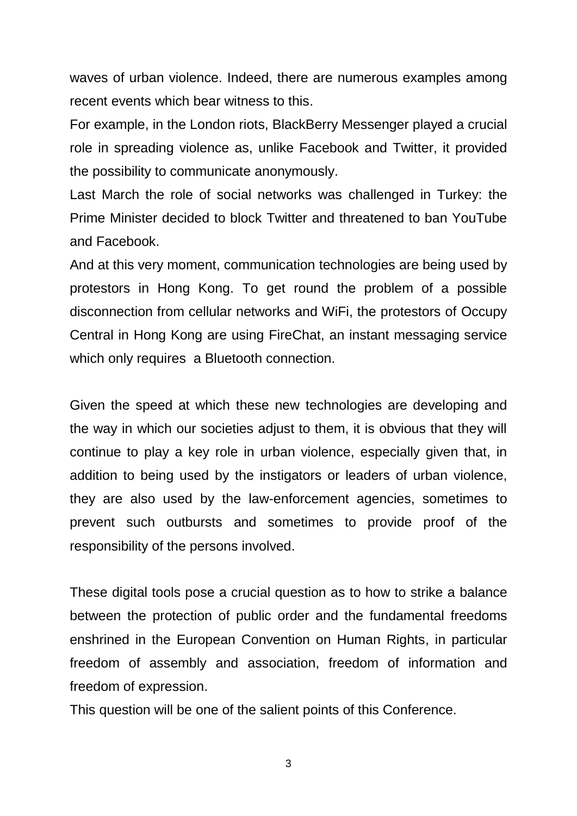waves of urban violence. Indeed, there are numerous examples among recent events which bear witness to this.

For example, in the London riots, BlackBerry Messenger played a crucial role in spreading violence as, unlike Facebook and Twitter, it provided the possibility to communicate anonymously.

Last March the role of social networks was challenged in Turkey: the Prime Minister decided to block Twitter and threatened to ban YouTube and Facebook.

And at this very moment, communication technologies are being used by protestors in Hong Kong. To get round the problem of a possible disconnection from cellular networks and WiFi, the protestors of Occupy Central in Hong Kong are using FireChat, an instant messaging service which only requires a Bluetooth connection.

Given the speed at which these new technologies are developing and the way in which our societies adjust to them, it is obvious that they will continue to play a key role in urban violence, especially given that, in addition to being used by the instigators or leaders of urban violence, they are also used by the law-enforcement agencies, sometimes to prevent such outbursts and sometimes to provide proof of the responsibility of the persons involved.

These digital tools pose a crucial question as to how to strike a balance between the protection of public order and the fundamental freedoms enshrined in the European Convention on Human Rights, in particular freedom of assembly and association, freedom of information and freedom of expression.

This question will be one of the salient points of this Conference.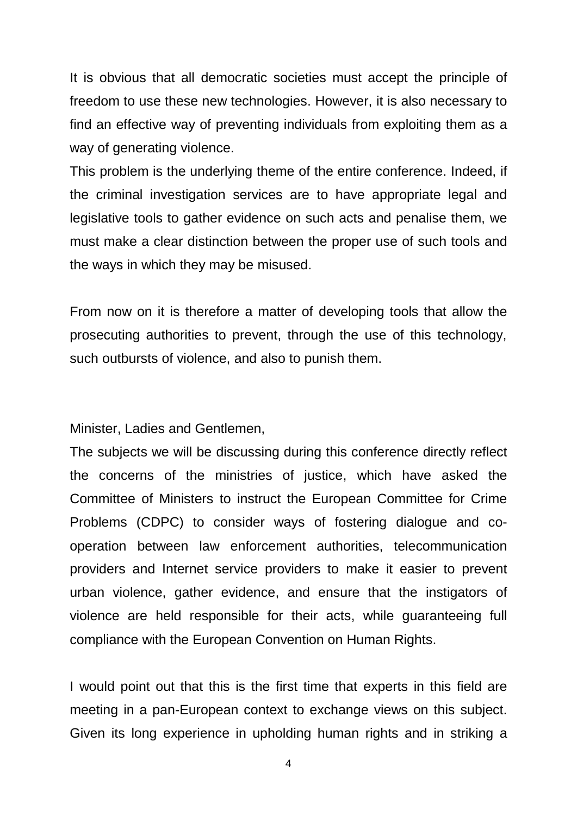It is obvious that all democratic societies must accept the principle of freedom to use these new technologies. However, it is also necessary to find an effective way of preventing individuals from exploiting them as a way of generating violence.

This problem is the underlying theme of the entire conference. Indeed, if the criminal investigation services are to have appropriate legal and legislative tools to gather evidence on such acts and penalise them, we must make a clear distinction between the proper use of such tools and the ways in which they may be misused.

From now on it is therefore a matter of developing tools that allow the prosecuting authorities to prevent, through the use of this technology, such outbursts of violence, and also to punish them.

Minister, Ladies and Gentlemen,

The subjects we will be discussing during this conference directly reflect the concerns of the ministries of justice, which have asked the Committee of Ministers to instruct the European Committee for Crime Problems (CDPC) to consider ways of fostering dialogue and cooperation between law enforcement authorities, telecommunication providers and Internet service providers to make it easier to prevent urban violence, gather evidence, and ensure that the instigators of violence are held responsible for their acts, while guaranteeing full compliance with the European Convention on Human Rights.

I would point out that this is the first time that experts in this field are meeting in a pan-European context to exchange views on this subject. Given its long experience in upholding human rights and in striking a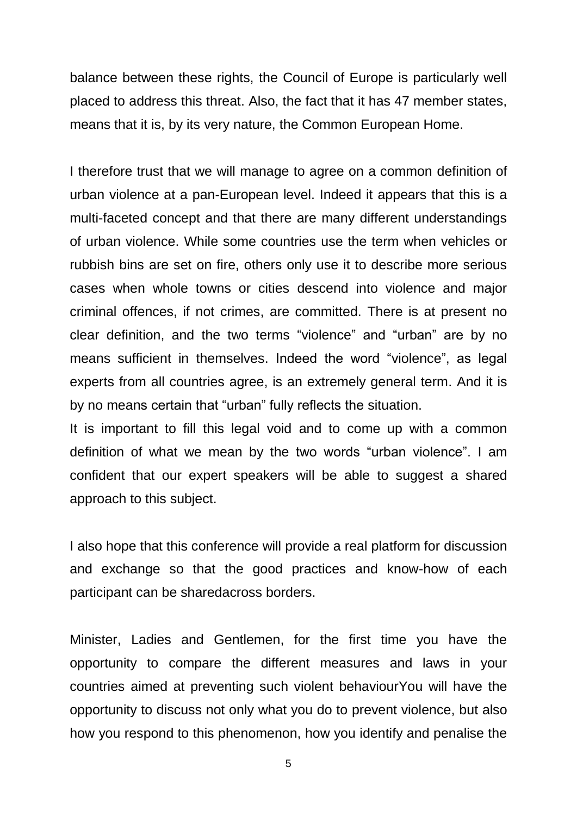balance between these rights, the Council of Europe is particularly well placed to address this threat. Also, the fact that it has 47 member states, means that it is, by its very nature, the Common European Home.

I therefore trust that we will manage to agree on a common definition of urban violence at a pan-European level. Indeed it appears that this is a multi-faceted concept and that there are many different understandings of urban violence. While some countries use the term when vehicles or rubbish bins are set on fire, others only use it to describe more serious cases when whole towns or cities descend into violence and major criminal offences, if not crimes, are committed. There is at present no clear definition, and the two terms "violence" and "urban" are by no means sufficient in themselves. Indeed the word "violence", as legal experts from all countries agree, is an extremely general term. And it is by no means certain that "urban" fully reflects the situation.

It is important to fill this legal void and to come up with a common definition of what we mean by the two words "urban violence". I am confident that our expert speakers will be able to suggest a shared approach to this subject.

I also hope that this conference will provide a real platform for discussion and exchange so that the good practices and know-how of each participant can be sharedacross borders.

Minister, Ladies and Gentlemen, for the first time you have the opportunity to compare the different measures and laws in your countries aimed at preventing such violent behaviourYou will have the opportunity to discuss not only what you do to prevent violence, but also how you respond to this phenomenon, how you identify and penalise the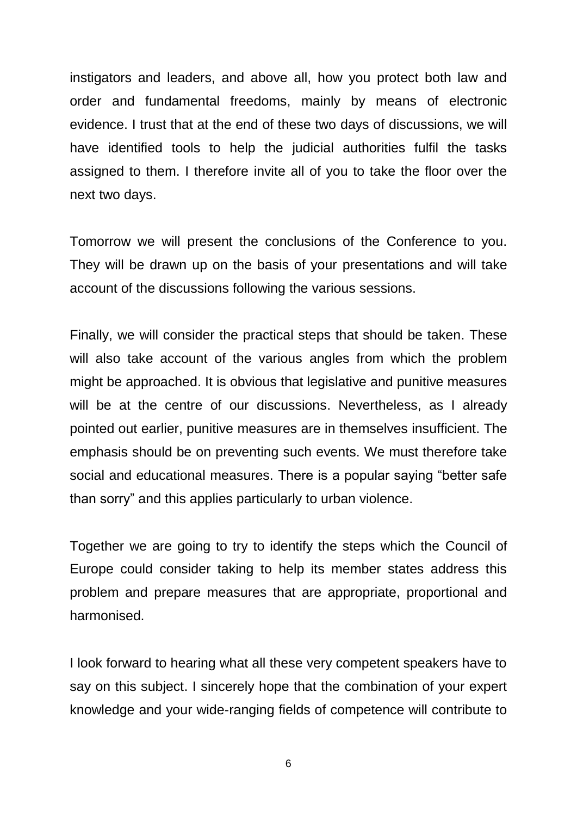instigators and leaders, and above all, how you protect both law and order and fundamental freedoms, mainly by means of electronic evidence. I trust that at the end of these two days of discussions, we will have identified tools to help the judicial authorities fulfil the tasks assigned to them. I therefore invite all of you to take the floor over the next two days.

Tomorrow we will present the conclusions of the Conference to you. They will be drawn up on the basis of your presentations and will take account of the discussions following the various sessions.

Finally, we will consider the practical steps that should be taken. These will also take account of the various angles from which the problem might be approached. It is obvious that legislative and punitive measures will be at the centre of our discussions. Nevertheless, as I already pointed out earlier, punitive measures are in themselves insufficient. The emphasis should be on preventing such events. We must therefore take social and educational measures. There is a popular saying "better safe than sorry" and this applies particularly to urban violence.

Together we are going to try to identify the steps which the Council of Europe could consider taking to help its member states address this problem and prepare measures that are appropriate, proportional and harmonised.

I look forward to hearing what all these very competent speakers have to say on this subject. I sincerely hope that the combination of your expert knowledge and your wide-ranging fields of competence will contribute to